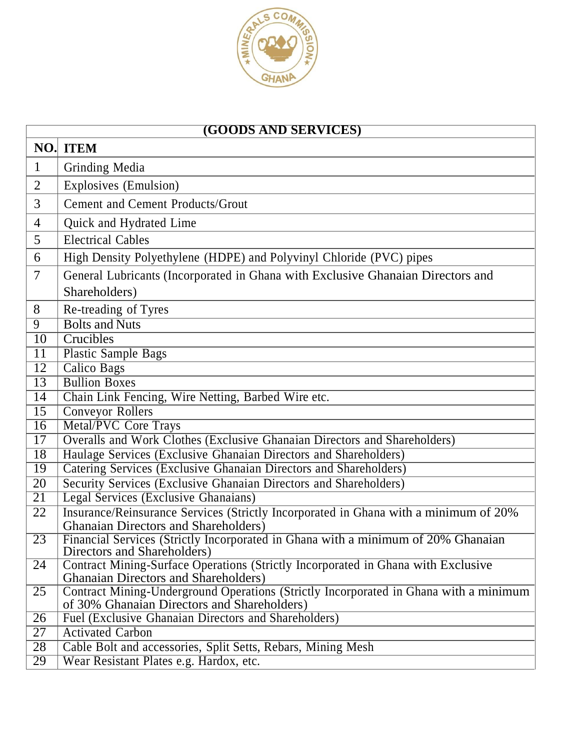

| <b>(GOODS AND SERVICES)</b> |                                                                                                                                      |  |
|-----------------------------|--------------------------------------------------------------------------------------------------------------------------------------|--|
| NO.                         | <b>ITEM</b>                                                                                                                          |  |
| $\mathbf{1}$                | Grinding Media                                                                                                                       |  |
| $\overline{2}$              | Explosives (Emulsion)                                                                                                                |  |
| 3                           | <b>Cement and Cement Products/Grout</b>                                                                                              |  |
| $\overline{4}$              | Quick and Hydrated Lime                                                                                                              |  |
| 5                           | <b>Electrical Cables</b>                                                                                                             |  |
| 6                           | High Density Polyethylene (HDPE) and Polyvinyl Chloride (PVC) pipes                                                                  |  |
| 7                           | General Lubricants (Incorporated in Ghana with Exclusive Ghanaian Directors and                                                      |  |
|                             | Shareholders)                                                                                                                        |  |
| 8                           | Re-treading of Tyres                                                                                                                 |  |
| $\overline{9}$              | <b>Bolts and Nuts</b>                                                                                                                |  |
| 10                          | Crucibles                                                                                                                            |  |
| 11                          | <b>Plastic Sample Bags</b>                                                                                                           |  |
| $\overline{12}$             | <b>Calico Bags</b>                                                                                                                   |  |
| $\overline{13}$             | <b>Bullion Boxes</b>                                                                                                                 |  |
| $\overline{14}$             | Chain Link Fencing, Wire Netting, Barbed Wire etc.                                                                                   |  |
| 15                          | <b>Conveyor Rollers</b>                                                                                                              |  |
| $\overline{16}$             | <b>Metal/PVC Core Trays</b>                                                                                                          |  |
| 17                          | Overalls and Work Clothes (Exclusive Ghanaian Directors and Shareholders)                                                            |  |
| $\overline{18}$             | Haulage Services (Exclusive Ghanaian Directors and Shareholders)                                                                     |  |
| 19                          | Catering Services (Exclusive Ghanaian Directors and Shareholders)                                                                    |  |
| 20                          | Security Services (Exclusive Ghanaian Directors and Shareholders)                                                                    |  |
| $\overline{21}$             | <b>Legal Services (Exclusive Ghanaians)</b>                                                                                          |  |
| 22                          | Insurance/Reinsurance Services (Strictly Incorporated in Ghana with a minimum of 20%                                                 |  |
|                             | <b>Ghanaian Directors and Shareholders)</b>                                                                                          |  |
| $\overline{23}$             | Financial Services (Strictly Incorporated in Ghana with a minimum of 20% Ghanaian<br>Directors and Shareholders)                     |  |
| 24                          | Contract Mining-Surface Operations (Strictly Incorporated in Ghana with Exclusive                                                    |  |
|                             | <b>Ghanaian Directors and Shareholders</b> )                                                                                         |  |
| 25                          | Contract Mining-Underground Operations (Strictly Incorporated in Ghana with a minimum<br>of 30% Ghanaian Directors and Shareholders) |  |
| 26                          | Fuel (Exclusive Ghanaian Directors and Shareholders)                                                                                 |  |
| 27                          | <b>Activated Carbon</b>                                                                                                              |  |
| 28                          | Cable Bolt and accessories, Split Setts, Rebars, Mining Mesh                                                                         |  |
| 29                          | Wear Resistant Plates e.g. Hardox, etc.                                                                                              |  |